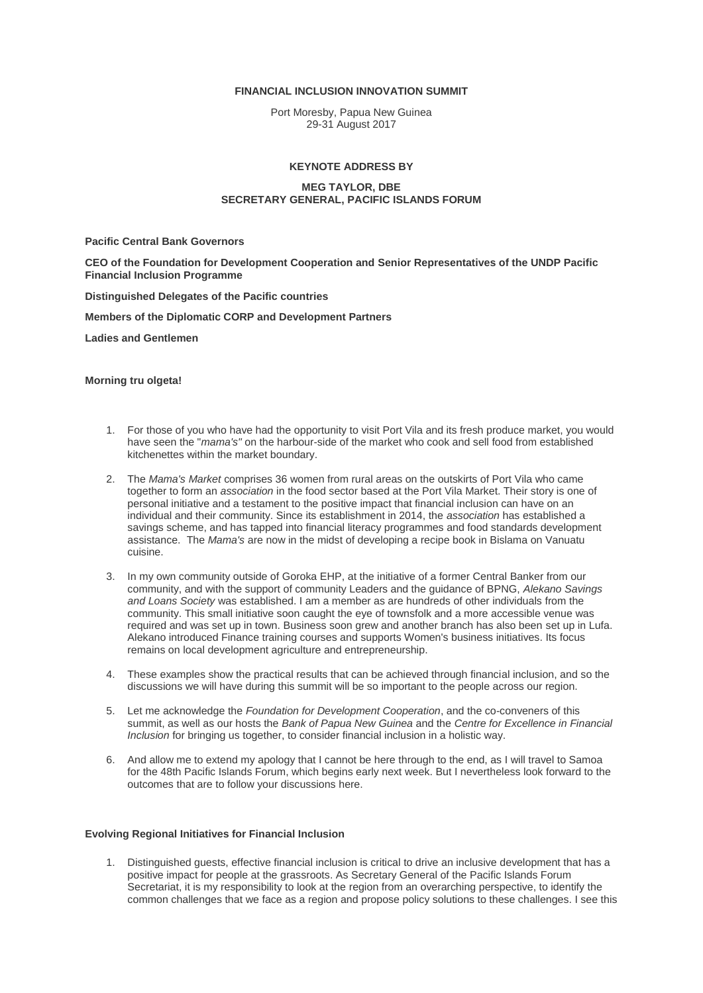#### **FINANCIAL INCLUSION INNOVATION SUMMIT**

Port Moresby, Papua New Guinea 29-31 August 2017

## **KEYNOTE ADDRESS BY**

## **MEG TAYLOR, DBE SECRETARY GENERAL, PACIFIC ISLANDS FORUM**

### **Pacific Central Bank Governors**

**CEO of the Foundation for Development Cooperation and Senior Representatives of the UNDP Pacific Financial Inclusion Programme**

**Distinguished Delegates of the Pacific countries**

#### **Members of the Diplomatic CORP and Development Partners**

**Ladies and Gentlemen**

# **Morning tru olgeta!**

- 1. For those of you who have had the opportunity to visit Port Vila and its fresh produce market, you would have seen the "*mama's"* on the harbour-side of the market who cook and sell food from established kitchenettes within the market boundary.
- 2. The *Mama's Market* comprises 36 women from rural areas on the outskirts of Port Vila who came together to form an *association* in the food sector based at the Port Vila Market. Their story is one of personal initiative and a testament to the positive impact that financial inclusion can have on an individual and their community. Since its establishment in 2014, the *association* has established a savings scheme, and has tapped into financial literacy programmes and food standards development assistance. The *Mama's* are now in the midst of developing a recipe book in Bislama on Vanuatu cuisine.
- 3. In my own community outside of Goroka EHP, at the initiative of a former Central Banker from our community, and with the support of community Leaders and the guidance of BPNG, *Alekano Savings and Loans Society* was established. I am a member as are hundreds of other individuals from the community. This small initiative soon caught the eye of townsfolk and a more accessible venue was required and was set up in town. Business soon grew and another branch has also been set up in Lufa. Alekano introduced Finance training courses and supports Women's business initiatives. Its focus remains on local development agriculture and entrepreneurship.
- 4. These examples show the practical results that can be achieved through financial inclusion, and so the discussions we will have during this summit will be so important to the people across our region.
- 5. Let me acknowledge the *Foundation for Development Cooperation*, and the co-conveners of this summit, as well as our hosts the *Bank of Papua New Guinea* and the *Centre for Excellence in Financial Inclusion* for bringing us together, to consider financial inclusion in a holistic way.
- 6. And allow me to extend my apology that I cannot be here through to the end, as I will travel to Samoa for the 48th Pacific Islands Forum, which begins early next week. But I nevertheless look forward to the outcomes that are to follow your discussions here.

#### **Evolving Regional Initiatives for Financial Inclusion**

1. Distinguished guests, effective financial inclusion is critical to drive an inclusive development that has a positive impact for people at the grassroots. As Secretary General of the Pacific Islands Forum Secretariat, it is my responsibility to look at the region from an overarching perspective, to identify the common challenges that we face as a region and propose policy solutions to these challenges. I see this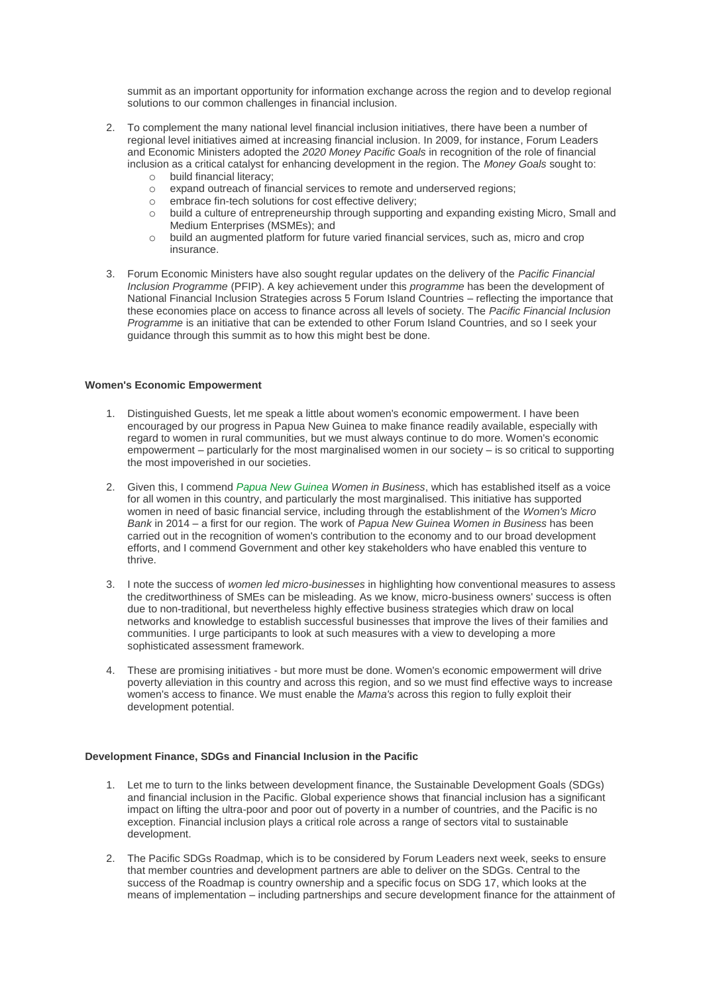summit as an important opportunity for information exchange across the region and to develop regional solutions to our common challenges in financial inclusion.

- 2. To complement the many national level financial inclusion initiatives, there have been a number of regional level initiatives aimed at increasing financial inclusion. In 2009, for instance, Forum Leaders and Economic Ministers adopted the *2020 Money Pacific Goals* in recognition of the role of financial inclusion as a critical catalyst for enhancing development in the region. The *Money Goals* sought to:
	- o build financial literacy;
	- o expand outreach of financial services to remote and underserved regions;
	- o embrace fin-tech solutions for cost effective delivery;
	- o build a culture of entrepreneurship through supporting and expanding existing Micro, Small and Medium Enterprises (MSMEs); and
	- o build an augmented platform for future varied financial services, such as, micro and crop insurance.
- 3. Forum Economic Ministers have also sought regular updates on the delivery of the *Pacific Financial Inclusion Programme* (PFIP). A key achievement under this *programme* has been the development of National Financial Inclusion Strategies across 5 Forum Island Countries – reflecting the importance that these economies place on access to finance across all levels of society. The *Pacific Financial Inclusion Programme* is an initiative that can be extended to other Forum Island Countries, and so I seek your guidance through this summit as to how this might best be done.

## **Women's Economic Empowerment**

- 1. Distinguished Guests, let me speak a little about women's economic empowerment. I have been encouraged by our progress in Papua New Guinea to make finance readily available, especially with regard to women in rural communities, but we must always continue to do more. Women's economic empowerment – particularly for the most marginalised women in our society – is so critical to supporting the most impoverished in our societies.
- 2. Given this, I commend *Papua New Guinea Women in Business*, which has established itself as a voice for all women in this country, and particularly the most marginalised. This initiative has supported women in need of basic financial service, including through the establishment of the *Women's Micro Bank* in 2014 – a first for our region. The work of *Papua New Guinea Women in Business* has been carried out in the recognition of women's contribution to the economy and to our broad development efforts, and I commend Government and other key stakeholders who have enabled this venture to thrive.
- 3. I note the success of *women led micro-businesses* in highlighting how conventional measures to assess the creditworthiness of SMEs can be misleading. As we know, micro-business owners' success is often due to non-traditional, but nevertheless highly effective business strategies which draw on local networks and knowledge to establish successful businesses that improve the lives of their families and communities. I urge participants to look at such measures with a view to developing a more sophisticated assessment framework.
- 4. These are promising initiatives but more must be done. Women's economic empowerment will drive poverty alleviation in this country and across this region, and so we must find effective ways to increase women's access to finance. We must enable the *Mama's* across this region to fully exploit their development potential.

## **Development Finance, SDGs and Financial Inclusion in the Pacific**

- 1. Let me to turn to the links between development finance, the Sustainable Development Goals (SDGs) and financial inclusion in the Pacific. Global experience shows that financial inclusion has a significant impact on lifting the ultra-poor and poor out of poverty in a number of countries, and the Pacific is no exception. Financial inclusion plays a critical role across a range of sectors vital to sustainable development.
- 2. The Pacific SDGs Roadmap, which is to be considered by Forum Leaders next week, seeks to ensure that member countries and development partners are able to deliver on the SDGs. Central to the success of the Roadmap is country ownership and a specific focus on SDG 17, which looks at the means of implementation – including partnerships and secure development finance for the attainment of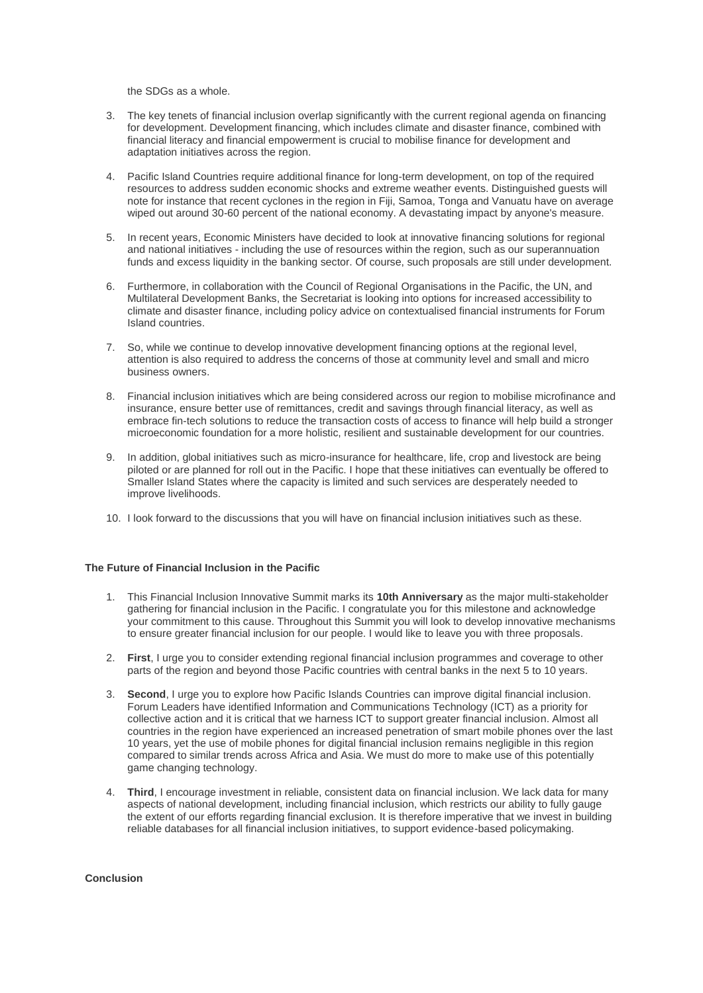the SDGs as a whole.

- 3. The key tenets of financial inclusion overlap significantly with the current regional agenda on financing for development. Development financing, which includes climate and disaster finance, combined with financial literacy and financial empowerment is crucial to mobilise finance for development and adaptation initiatives across the region.
- 4. Pacific Island Countries require additional finance for long-term development, on top of the required resources to address sudden economic shocks and extreme weather events. Distinguished guests will note for instance that recent cyclones in the region in Fiji, Samoa, Tonga and Vanuatu have on average wiped out around 30-60 percent of the national economy. A devastating impact by anyone's measure.
- 5. In recent years, Economic Ministers have decided to look at innovative financing solutions for regional and national initiatives - including the use of resources within the region, such as our superannuation funds and excess liquidity in the banking sector. Of course, such proposals are still under development.
- 6. Furthermore, in collaboration with the Council of Regional Organisations in the Pacific, the UN, and Multilateral Development Banks, the Secretariat is looking into options for increased accessibility to climate and disaster finance, including policy advice on contextualised financial instruments for Forum Island countries.
- 7. So, while we continue to develop innovative development financing options at the regional level, attention is also required to address the concerns of those at community level and small and micro business owners.
- 8. Financial inclusion initiatives which are being considered across our region to mobilise microfinance and insurance, ensure better use of remittances, credit and savings through financial literacy, as well as embrace fin-tech solutions to reduce the transaction costs of access to finance will help build a stronger microeconomic foundation for a more holistic, resilient and sustainable development for our countries.
- 9. In addition, global initiatives such as micro-insurance for healthcare, life, crop and livestock are being piloted or are planned for roll out in the Pacific. I hope that these initiatives can eventually be offered to Smaller Island States where the capacity is limited and such services are desperately needed to improve livelihoods.
- 10. I look forward to the discussions that you will have on financial inclusion initiatives such as these.

# **The Future of Financial Inclusion in the Pacific**

- 1. This Financial Inclusion Innovative Summit marks its **10th Anniversary** as the major multi-stakeholder gathering for financial inclusion in the Pacific. I congratulate you for this milestone and acknowledge your commitment to this cause. Throughout this Summit you will look to develop innovative mechanisms to ensure greater financial inclusion for our people. I would like to leave you with three proposals.
- 2. **First**, I urge you to consider extending regional financial inclusion programmes and coverage to other parts of the region and beyond those Pacific countries with central banks in the next 5 to 10 years.
- 3. **Second**, I urge you to explore how Pacific Islands Countries can improve digital financial inclusion. Forum Leaders have identified Information and Communications Technology (ICT) as a priority for collective action and it is critical that we harness ICT to support greater financial inclusion. Almost all countries in the region have experienced an increased penetration of smart mobile phones over the last 10 years, yet the use of mobile phones for digital financial inclusion remains negligible in this region compared to similar trends across Africa and Asia. We must do more to make use of this potentially game changing technology.
- 4. **Third**, I encourage investment in reliable, consistent data on financial inclusion. We lack data for many aspects of national development, including financial inclusion, which restricts our ability to fully gauge the extent of our efforts regarding financial exclusion. It is therefore imperative that we invest in building reliable databases for all financial inclusion initiatives, to support evidence-based policymaking.

# **Conclusion**